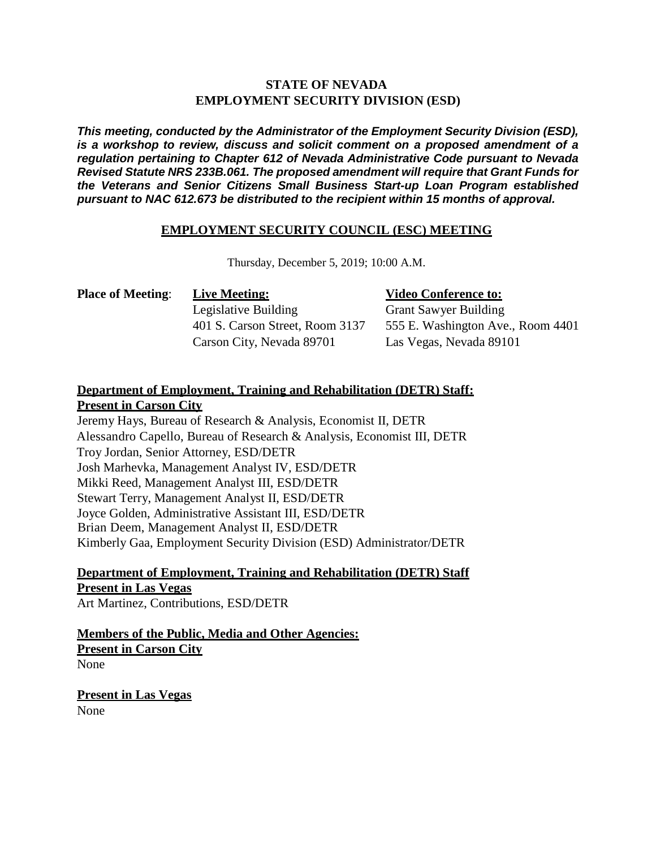## **STATE OF NEVADA EMPLOYMENT SECURITY DIVISION (ESD)**

*This meeting, conducted by the Administrator of the Employment Security Division (ESD), is a workshop to review, discuss and solicit comment on a proposed amendment of a regulation pertaining to Chapter 612 of Nevada Administrative Code pursuant to Nevada Revised Statute NRS 233B.061. The proposed amendment will require that Grant Funds for the Veterans and Senior Citizens Small Business Start-up Loan Program established pursuant to NAC 612.673 be distributed to the recipient within 15 months of approval.*

## **EMPLOYMENT SECURITY COUNCIL (ESC) MEETING**

Thursday, December 5, 2019; 10:00 A.M.

| <b>Place of Meeting:</b> | <b>Live Meeting:</b>            |
|--------------------------|---------------------------------|
|                          | Legislative Building            |
|                          | 401 S. Carson Street, Room 3137 |
|                          | Carson City, Nevada 89701       |

## **Place Conference to:**

**Grant Sawyer Building** 555 E. Washington Ave., Room 4401 Las Vegas, Nevada 89101

## **Department of Employment, Training and Rehabilitation (DETR) Staff: Present in Carson City**

Jeremy Hays, Bureau of Research & Analysis, Economist II, DETR Alessandro Capello, Bureau of Research & Analysis, Economist III, DETR Troy Jordan, Senior Attorney, ESD/DETR Josh Marhevka, Management Analyst IV, ESD/DETR Mikki Reed, Management Analyst III, ESD/DETR Stewart Terry, Management Analyst II, ESD/DETR Joyce Golden, Administrative Assistant III, ESD/DETR Brian Deem, Management Analyst II, ESD/DETR Kimberly Gaa, Employment Security Division (ESD) Administrator/DETR

**Department of Employment, Training and Rehabilitation (DETR) Staff Present in Las Vegas** Art Martinez, Contributions, ESD/DETR

**Members of the Public, Media and Other Agencies: Present in Carson City**

None

**Present in Las Vegas** None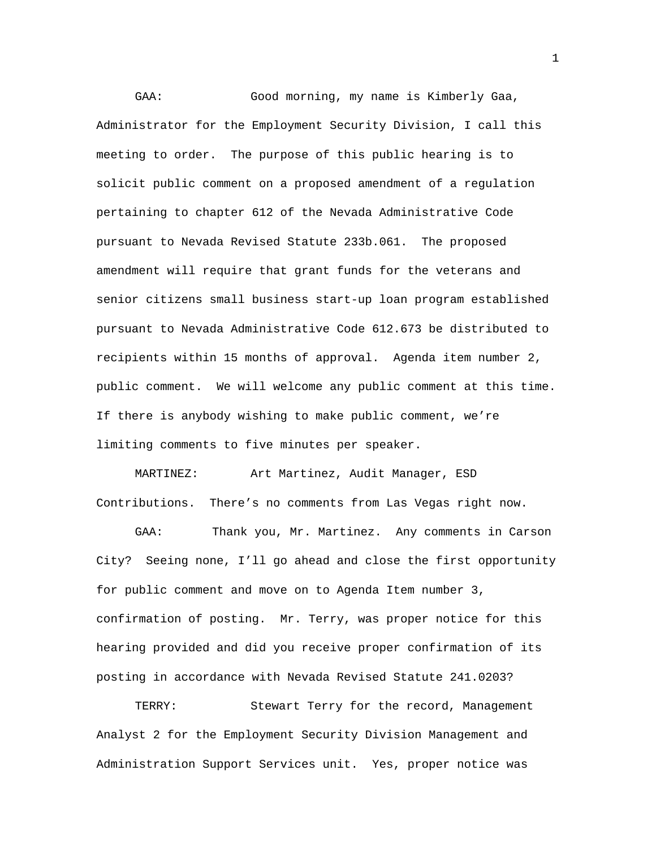GAA: Good morning, my name is Kimberly Gaa, Administrator for the Employment Security Division, I call this meeting to order. The purpose of this public hearing is to solicit public comment on a proposed amendment of a regulation pertaining to chapter 612 of the Nevada Administrative Code pursuant to Nevada Revised Statute 233b.061. The proposed amendment will require that grant funds for the veterans and senior citizens small business start-up loan program established pursuant to Nevada Administrative Code 612.673 be distributed to recipients within 15 months of approval. Agenda item number 2, public comment. We will welcome any public comment at this time. If there is anybody wishing to make public comment, we're limiting comments to five minutes per speaker.

MARTINEZ: Art Martinez, Audit Manager, ESD Contributions. There's no comments from Las Vegas right now.

GAA: Thank you, Mr. Martinez. Any comments in Carson City? Seeing none, I'll go ahead and close the first opportunity for public comment and move on to Agenda Item number 3, confirmation of posting. Mr. Terry, was proper notice for this hearing provided and did you receive proper confirmation of its posting in accordance with Nevada Revised Statute 241.0203?

TERRY: Stewart Terry for the record, Management Analyst 2 for the Employment Security Division Management and Administration Support Services unit. Yes, proper notice was

1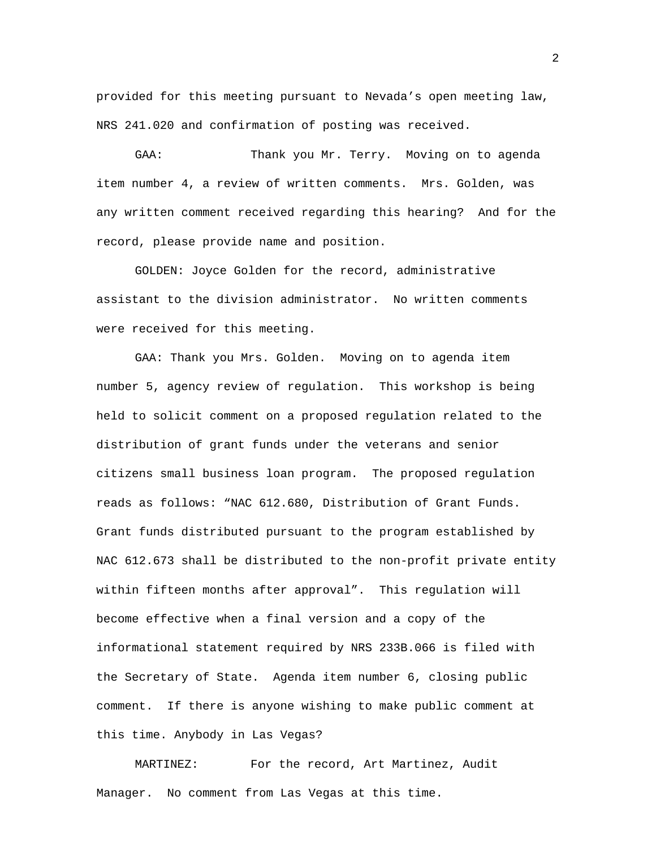provided for this meeting pursuant to Nevada's open meeting law, NRS 241.020 and confirmation of posting was received.

GAA: Thank you Mr. Terry. Moving on to agenda item number 4, a review of written comments. Mrs. Golden, was any written comment received regarding this hearing? And for the record, please provide name and position.

GOLDEN: Joyce Golden for the record, administrative assistant to the division administrator. No written comments were received for this meeting.

GAA: Thank you Mrs. Golden. Moving on to agenda item number 5, agency review of regulation. This workshop is being held to solicit comment on a proposed regulation related to the distribution of grant funds under the veterans and senior citizens small business loan program. The proposed regulation reads as follows: "NAC 612.680, Distribution of Grant Funds. Grant funds distributed pursuant to the program established by NAC 612.673 shall be distributed to the non-profit private entity within fifteen months after approval". This regulation will become effective when a final version and a copy of the informational statement required by NRS 233B.066 is filed with the Secretary of State. Agenda item number 6, closing public comment. If there is anyone wishing to make public comment at this time. Anybody in Las Vegas?

MARTINEZ: For the record, Art Martinez, Audit Manager. No comment from Las Vegas at this time.

2